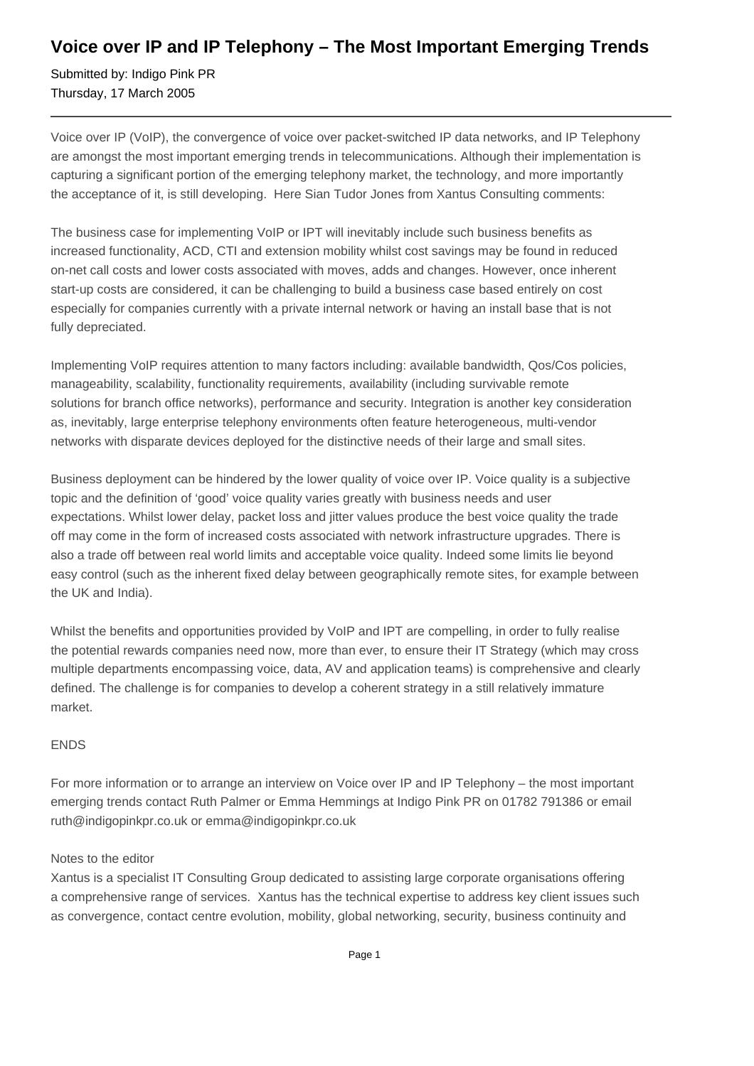## **Voice over IP and IP Telephony – The Most Important Emerging Trends**

Submitted by: Indigo Pink PR Thursday, 17 March 2005

Voice over IP (VoIP), the convergence of voice over packet-switched IP data networks, and IP Telephony are amongst the most important emerging trends in telecommunications. Although their implementation is capturing a significant portion of the emerging telephony market, the technology, and more importantly the acceptance of it, is still developing. Here Sian Tudor Jones from Xantus Consulting comments:

The business case for implementing VoIP or IPT will inevitably include such business benefits as increased functionality, ACD, CTI and extension mobility whilst cost savings may be found in reduced on-net call costs and lower costs associated with moves, adds and changes. However, once inherent start-up costs are considered, it can be challenging to build a business case based entirely on cost especially for companies currently with a private internal network or having an install base that is not fully depreciated.

Implementing VoIP requires attention to many factors including: available bandwidth, Qos/Cos policies, manageability, scalability, functionality requirements, availability (including survivable remote solutions for branch office networks), performance and security. Integration is another key consideration as, inevitably, large enterprise telephony environments often feature heterogeneous, multi-vendor networks with disparate devices deployed for the distinctive needs of their large and small sites.

Business deployment can be hindered by the lower quality of voice over IP. Voice quality is a subjective topic and the definition of 'good' voice quality varies greatly with business needs and user expectations. Whilst lower delay, packet loss and jitter values produce the best voice quality the trade off may come in the form of increased costs associated with network infrastructure upgrades. There is also a trade off between real world limits and acceptable voice quality. Indeed some limits lie beyond easy control (such as the inherent fixed delay between geographically remote sites, for example between the UK and India).

Whilst the benefits and opportunities provided by VoIP and IPT are compelling, in order to fully realise the potential rewards companies need now, more than ever, to ensure their IT Strategy (which may cross multiple departments encompassing voice, data, AV and application teams) is comprehensive and clearly defined. The challenge is for companies to develop a coherent strategy in a still relatively immature market.

## ENDS

For more information or to arrange an interview on Voice over IP and IP Telephony – the most important emerging trends contact Ruth Palmer or Emma Hemmings at Indigo Pink PR on 01782 791386 or email ruth@indigopinkpr.co.uk or emma@indigopinkpr.co.uk

## Notes to the editor

Xantus is a specialist IT Consulting Group dedicated to assisting large corporate organisations offering a comprehensive range of services. Xantus has the technical expertise to address key client issues such as convergence, contact centre evolution, mobility, global networking, security, business continuity and